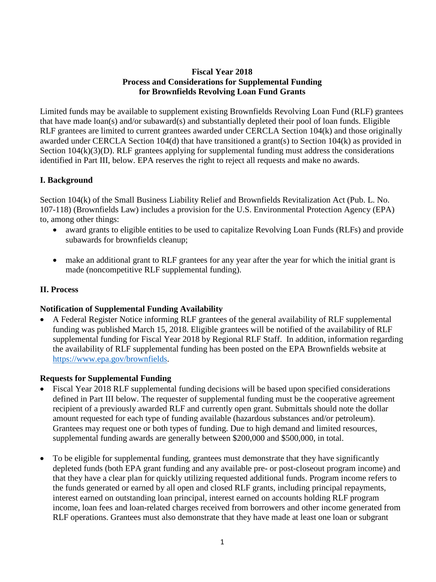#### **Fiscal Year 2018 Process and Considerations for Supplemental Funding for Brownfields Revolving Loan Fund Grants**

Limited funds may be available to supplement existing Brownfields Revolving Loan Fund (RLF) grantees that have made loan(s) and/or subaward(s) and substantially depleted their pool of loan funds. Eligible RLF grantees are limited to current grantees awarded under CERCLA Section 104(k) and those originally awarded under CERCLA Section 104(d) that have transitioned a grant(s) to Section 104(k) as provided in Section  $104(k)(3)(D)$ . RLF grantees applying for supplemental funding must address the considerations identified in Part III, below. EPA reserves the right to reject all requests and make no awards.

### **I. Background**

Section 104(k) of the Small Business Liability Relief and Brownfields Revitalization Act (Pub. L. No. 107-118) (Brownfields Law) includes a provision for the U.S. Environmental Protection Agency (EPA) to, among other things:

- award grants to eligible entities to be used to capitalize Revolving Loan Funds (RLFs) and provide subawards for brownfields cleanup;
- make an additional grant to RLF grantees for any year after the year for which the initial grant is made (noncompetitive RLF supplemental funding).

#### **II. Process**

#### **Notification of Supplemental Funding Availability**

• A Federal Register Notice informing RLF grantees of the general availability of RLF supplemental funding was published March 15, 2018. Eligible grantees will be notified of the availability of RLF supplemental funding for Fiscal Year 2018 by Regional RLF Staff. In addition, information regarding the availability of RLF supplemental funding has been posted on the EPA Brownfields website at [https://www.epa.gov/brownfields.](https://www.epa.gov/brownfields)

#### **Requests for Supplemental Funding**

- Fiscal Year 2018 RLF supplemental funding decisions will be based upon specified considerations defined in Part III below. The requester of supplemental funding must be the cooperative agreement recipient of a previously awarded RLF and currently open grant. Submittals should note the dollar amount requested for each type of funding available (hazardous substances and/or petroleum). Grantees may request one or both types of funding. Due to high demand and limited resources, supplemental funding awards are generally between \$200,000 and \$500,000, in total.
- To be eligible for supplemental funding, grantees must demonstrate that they have significantly depleted funds (both EPA grant funding and any available pre- or post-closeout program income) and that they have a clear plan for quickly utilizing requested additional funds. Program income refers to the funds generated or earned by all open and closed RLF grants, including principal repayments, interest earned on outstanding loan principal, interest earned on accounts holding RLF program income, loan fees and loan-related charges received from borrowers and other income generated from RLF operations. Grantees must also demonstrate that they have made at least one loan or subgrant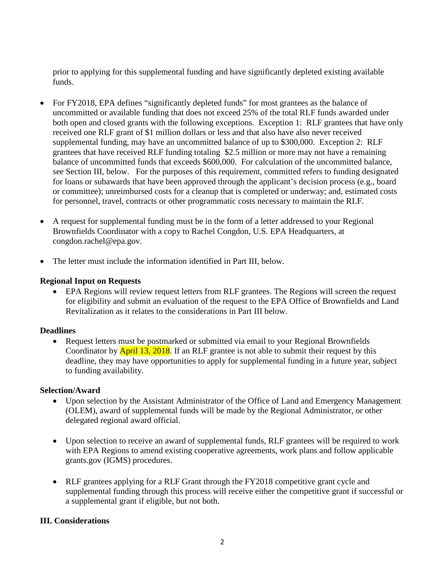prior to applying for this supplemental funding and have significantly depleted existing available funds.

- For FY2018, EPA defines "significantly depleted funds" for most grantees as the balance of uncommitted or available funding that does not exceed 25% of the total RLF funds awarded under both open and closed grants with the following exceptions. Exception 1: RLF grantees that have only received one RLF grant of \$1 million dollars or less and that also have also never received supplemental funding, may have an uncommitted balance of up to \$300,000. Exception 2: RLF grantees that have received RLF funding totaling \$2.5 million or more may not have a remaining balance of uncommitted funds that exceeds \$600,000. For calculation of the uncommitted balance, see Section III, below. For the purposes of this requirement, committed refers to funding designated for loans or subawards that have been approved through the applicant's decision process (e.g., board or committee); unreimbursed costs for a cleanup that is completed or underway; and, estimated costs for personnel, travel, contracts or other programmatic costs necessary to maintain the RLF.
- A request for supplemental funding must be in the form of a letter addressed to your Regional Brownfields Coordinator with a copy to Rachel Congdon, U.S. EPA Headquarters, at congdon.rachel@epa.gov.
- The letter must include the information identified in Part III, below.

#### **Regional Input on Requests**

• EPA Regions will review request letters from RLF grantees. The Regions will screen the request for eligibility and submit an evaluation of the request to the EPA Office of Brownfields and Land Revitalization as it relates to the considerations in Part III below.

#### **Deadlines**

• Request letters must be postmarked or submitted via email to your Regional Brownfields Coordinator by **April 13, 2018**. If an RLF grantee is not able to submit their request by this deadline, they may have opportunities to apply for supplemental funding in a future year, subject to funding availability.

#### **Selection/Award**

- Upon selection by the Assistant Administrator of the Office of Land and Emergency Management (OLEM), award of supplemental funds will be made by the Regional Administrator, or other delegated regional award official.
- Upon selection to receive an award of supplemental funds, RLF grantees will be required to work with EPA Regions to amend existing cooperative agreements, work plans and follow applicable grants.gov (IGMS) procedures.
- RLF grantees applying for a RLF Grant through the FY2018 competitive grant cycle and supplemental funding through this process will receive either the competitive grant if successful or a supplemental grant if eligible, but not both.

#### **III. Considerations**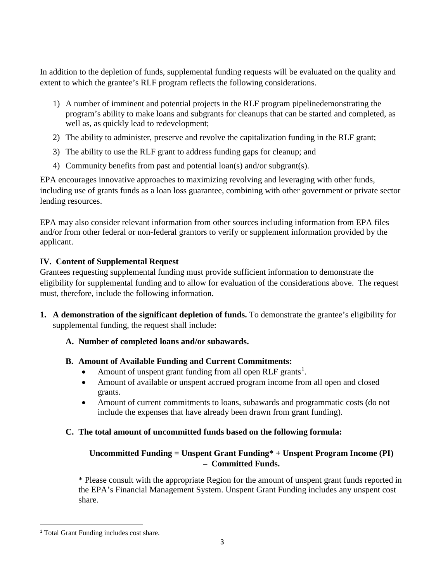In addition to the depletion of funds, supplemental funding requests will be evaluated on the quality and extent to which the grantee's RLF program reflects the following considerations.

- 1) A number of imminent and potential projects in the RLF program pipelinedemonstrating the program's ability to make loans and subgrants for cleanups that can be started and completed, as well as, as quickly lead to redevelopment:
- 2) The ability to administer, preserve and revolve the capitalization funding in the RLF grant;
- 3) The ability to use the RLF grant to address funding gaps for cleanup; and
- 4) Community benefits from past and potential loan(s) and/or subgrant(s).

EPA encourages innovative approaches to maximizing revolving and leveraging with other funds, including use of grants funds as a loan loss guarantee, combining with other government or private sector lending resources.

EPA may also consider relevant information from other sources including information from EPA files and/or from other federal or non-federal grantors to verify or supplement information provided by the applicant.

## **IV. Content of Supplemental Request**

Grantees requesting supplemental funding must provide sufficient information to demonstrate the eligibility for supplemental funding and to allow for evaluation of the considerations above. The request must, therefore, include the following information.

**1. A demonstration of the significant depletion of funds.** To demonstrate the grantee's eligibility for supplemental funding, the request shall include:

### **A. Number of completed loans and/or subawards.**

# **B. Amount of Available Funding and Current Commitments:**

- Amount of unspent grant funding from all open RLF grants<sup>[1](#page-2-0)</sup>.
- Amount of available or unspent accrued program income from all open and closed grants.
- Amount of current commitments to loans, subawards and programmatic costs (do not include the expenses that have already been drawn from grant funding).

# **C. The total amount of uncommitted funds based on the following formula:**

## **Uncommitted Funding = Unspent Grant Funding\* + Unspent Program Income (PI) – Committed Funds.**

\* Please consult with the appropriate Region for the amount of unspent grant funds reported in the EPA's Financial Management System. Unspent Grant Funding includes any unspent cost share.

<span id="page-2-0"></span><sup>&</sup>lt;sup>1</sup> Total Grant Funding includes cost share.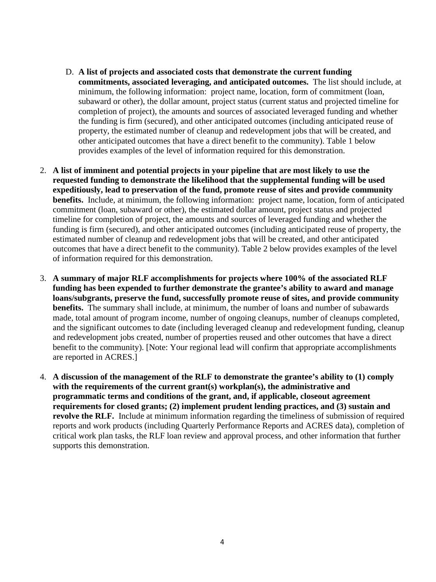- D. **A list of projects and associated costs that demonstrate the current funding commitments, associated leveraging, and anticipated outcomes.** The list should include, at minimum, the following information: project name, location, form of commitment (loan, subaward or other), the dollar amount, project status (current status and projected timeline for completion of project), the amounts and sources of associated leveraged funding and whether the funding is firm (secured), and other anticipated outcomes (including anticipated reuse of property, the estimated number of cleanup and redevelopment jobs that will be created, and other anticipated outcomes that have a direct benefit to the community). Table 1 below provides examples of the level of information required for this demonstration.
- 2. **A list of imminent and potential projects in your pipeline that are most likely to use the requested funding to demonstrate the likelihood that the supplemental funding will be used expeditiously, lead to preservation of the fund, promote reuse of sites and provide community benefits.** Include, at minimum, the following information: project name, location, form of anticipated commitment (loan, subaward or other), the estimated dollar amount, project status and projected timeline for completion of project, the amounts and sources of leveraged funding and whether the funding is firm (secured), and other anticipated outcomes (including anticipated reuse of property, the estimated number of cleanup and redevelopment jobs that will be created, and other anticipated outcomes that have a direct benefit to the community). Table 2 below provides examples of the level of information required for this demonstration.
- 3. **A summary of major RLF accomplishments for projects where 100% of the associated RLF funding has been expended to further demonstrate the grantee's ability to award and manage loans/subgrants, preserve the fund, successfully promote reuse of sites, and provide community benefits.** The summary shall include, at minimum, the number of loans and number of subawards made, total amount of program income, number of ongoing cleanups, number of cleanups completed, and the significant outcomes to date (including leveraged cleanup and redevelopment funding, cleanup and redevelopment jobs created, number of properties reused and other outcomes that have a direct benefit to the community). [Note: Your regional lead will confirm that appropriate accomplishments are reported in ACRES.]
- 4. **A discussion of the management of the RLF to demonstrate the grantee's ability to (1) comply with the requirements of the current grant(s) workplan(s), the administrative and programmatic terms and conditions of the grant, and, if applicable, closeout agreement requirements for closed grants; (2) implement prudent lending practices, and (3) sustain and revolve the RLF.** Include at minimum information regarding the timeliness of submission of required reports and work products (including Quarterly Performance Reports and ACRES data), completion of critical work plan tasks, the RLF loan review and approval process, and other information that further supports this demonstration.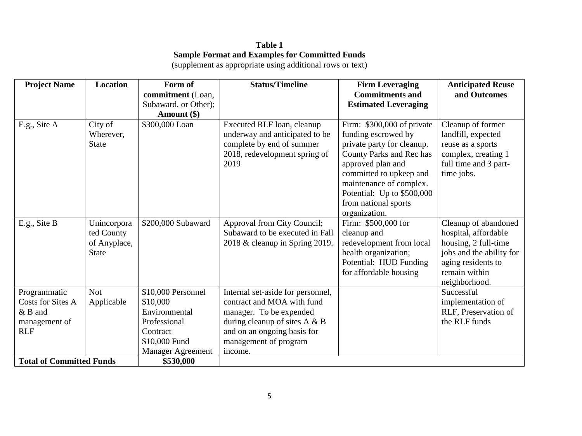# **Table 1 Sample Format and Examples for Committed Funds**

(supplement as appropriate using additional rows or text)

| <b>Project Name</b>                                                           | Location                                                  | Form of                                                                                      | <b>Status/Timeline</b>                                                                                                                                                                 | <b>Firm Leveraging</b>                                                                                                                                                                                                                                        | <b>Anticipated Reuse</b>                                                                                                                                 |
|-------------------------------------------------------------------------------|-----------------------------------------------------------|----------------------------------------------------------------------------------------------|----------------------------------------------------------------------------------------------------------------------------------------------------------------------------------------|---------------------------------------------------------------------------------------------------------------------------------------------------------------------------------------------------------------------------------------------------------------|----------------------------------------------------------------------------------------------------------------------------------------------------------|
|                                                                               |                                                           | commitment (Loan,                                                                            |                                                                                                                                                                                        | <b>Commitments and</b>                                                                                                                                                                                                                                        | and Outcomes                                                                                                                                             |
|                                                                               |                                                           | Subaward, or Other);                                                                         |                                                                                                                                                                                        | <b>Estimated Leveraging</b>                                                                                                                                                                                                                                   |                                                                                                                                                          |
|                                                                               |                                                           | Amount (\$)                                                                                  |                                                                                                                                                                                        |                                                                                                                                                                                                                                                               |                                                                                                                                                          |
| E.g., Site A                                                                  | City of<br>Wherever,<br><b>State</b>                      | \$300,000 Loan                                                                               | Executed RLF loan, cleanup<br>underway and anticipated to be<br>complete by end of summer<br>2018, redevelopment spring of<br>2019                                                     | Firm: \$300,000 of private<br>funding escrowed by<br>private party for cleanup.<br>County Parks and Rec has<br>approved plan and<br>committed to upkeep and<br>maintenance of complex.<br>Potential: Up to \$500,000<br>from national sports<br>organization. | Cleanup of former<br>landfill, expected<br>reuse as a sports<br>complex, creating 1<br>full time and 3 part-<br>time jobs.                               |
| E.g., Site B                                                                  | Unincorpora<br>ted County<br>of Anyplace,<br><b>State</b> | \$200,000 Subaward                                                                           | Approval from City Council;<br>Subaward to be executed in Fall<br>2018 & cleanup in Spring 2019.                                                                                       | Firm: \$500,000 for<br>cleanup and<br>redevelopment from local<br>health organization;<br>Potential: HUD Funding<br>for affordable housing                                                                                                                    | Cleanup of abandoned<br>hospital, affordable<br>housing, 2 full-time<br>jobs and the ability for<br>aging residents to<br>remain within<br>neighborhood. |
| Programmatic<br>Costs for Sites A<br>$&$ B and<br>management of<br><b>RLF</b> | <b>Not</b><br>Applicable                                  | \$10,000 Personnel<br>\$10,000<br>Environmental<br>Professional<br>Contract<br>\$10,000 Fund | Internal set-aside for personnel,<br>contract and MOA with fund<br>manager. To be expended<br>during cleanup of sites $A \& B$<br>and on an ongoing basis for<br>management of program |                                                                                                                                                                                                                                                               | Successful<br>implementation of<br>RLF, Preservation of<br>the RLF funds                                                                                 |
| <b>Total of Committed Funds</b>                                               |                                                           | <b>Manager Agreement</b><br>\$530,000                                                        | income.                                                                                                                                                                                |                                                                                                                                                                                                                                                               |                                                                                                                                                          |